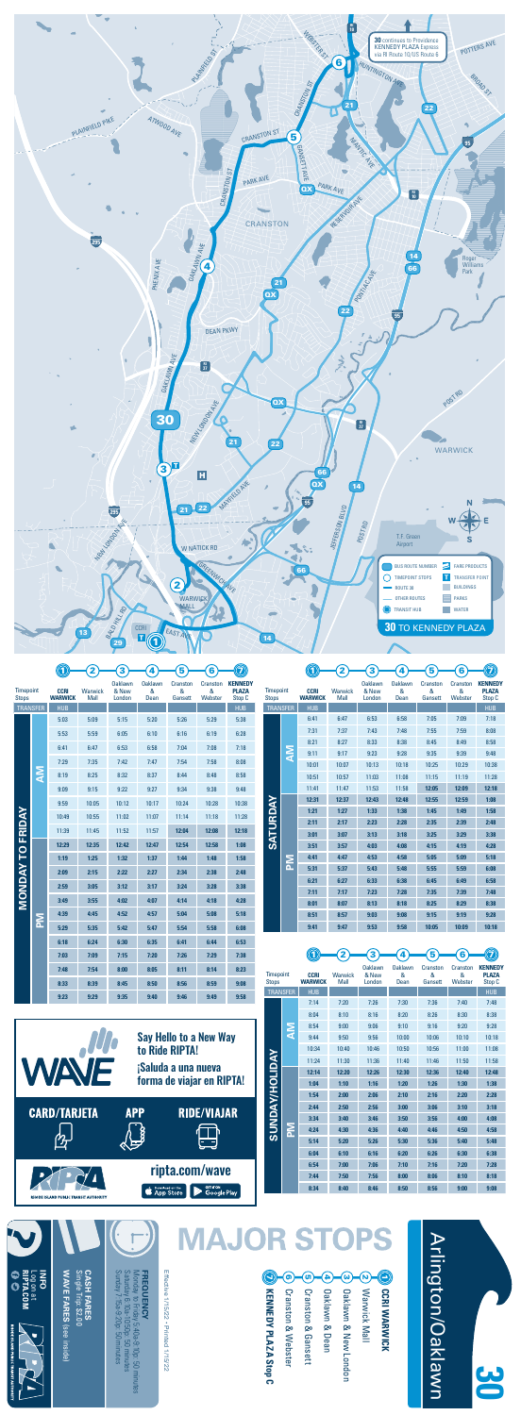

Effective 1/15/22 · Printed 1/15/22 Effective 1/15/22 • Printed 1/15/22

|                 |        | 7:31  | 7:37  | 7:43  | 7:48  | 7:55  | 7:59  | 8:08  |
|-----------------|--------|-------|-------|-------|-------|-------|-------|-------|
|                 |        | 8:21  | 8:27  | 8:33  | 8:38  | 8:45  | 8:49  | 8:58  |
|                 | MA     | 9:11  | 9:17  | 9:23  | 9:28  | 9:35  | 9:39  | 9:48  |
|                 |        | 10:01 | 10:07 | 10:13 | 10:18 | 10:25 | 10:29 | 10:38 |
|                 |        | 10:51 | 10:57 | 11:03 | 11:08 | 11:15 | 11:19 | 11:28 |
|                 |        | 11:41 | 11:47 | 11:53 | 11:58 | 12:05 | 12:09 | 12:18 |
|                 |        | 12:31 | 12:37 | 12:43 | 12:48 | 12:55 | 12:59 | 1:08  |
| <b>SATURDAY</b> |        | 1:21  | 1:27  | 1:33  | 1:38  | 1:45  | 1:49  | 1:58  |
|                 |        | 2:11  | 2:17  | 2:23  | 2:28  | 2:35  | 2:39  | 2:48  |
|                 |        | 3:01  | 3:07  | 3:13  | 3:18  | 3:25  | 3:29  | 3:38  |
|                 | Σ<br>Δ | 3:51  | 3:57  | 4:03  | 4:08  | 4:15  | 4:19  | 4:28  |
|                 |        | 4:41  | 4:47  | 4:53  | 4:58  | 5:05  | 5:09  | 5:18  |
|                 |        | 5:31  | 5:37  | 5:43  | 5:48  | 5:55  | 5:59  | 6:08  |
|                 |        | 6:21  | 6:27  | 6:33  | 6:38  | 6:45  | 6:49  | 6:58  |
|                 |        | 7:11  | 7:17  | 7:23  | 7:28  | 7:35  | 7:39  | 7:48  |
|                 |        | 8:01  | 8:07  | 8:13  | 8:18  | 8:25  | 8:29  | 8:38  |
|                 |        | 8:51  | 8:57  | 9:03  | 9:08  | 9:15  | 9:19  | 9:28  |
|                 |        | 9:41  | 9:47  | 9:53  | 9:58  | 10:05 | 10:09 | 10:18 |

**RIPTA.COM** Log on at<br>RIPTA.COM<br>O C

**HODE ISLAND PUBLIC TRANSIT AUTHORIT** 

| 3<br><b>Oaklawn</b><br>& New<br>London<br>6:53<br>7:43<br>8:33<br>9:23<br>10:13<br>11:03<br>11:53<br>12:43<br>1:33<br>2:23<br>3:13 | 4<br><b>Oaklawn</b><br>&<br>Dean<br>6:58<br>7:48<br>8:38<br>9:28<br>10:18<br>11:08<br>11:58<br>12:48<br>1:38<br>2:28 | 5<br>Cranston<br>&<br>Gansett<br>7:05<br>7:55<br>8:45<br>9:35<br>10:25<br>11:15<br>12:05<br>12:55 | 6<br>Cranston<br>&<br>Webster<br>7:09<br>7:59<br>8:49<br>9:39<br>10:29<br>11:19<br>12:09 | <b>KENNEDY</b><br><b>PLAZA</b><br>Stop C<br><b>HUB</b><br>7:18<br>8:08<br>8:58<br>9:48<br>10:38<br>11:28 |  |
|------------------------------------------------------------------------------------------------------------------------------------|----------------------------------------------------------------------------------------------------------------------|---------------------------------------------------------------------------------------------------|------------------------------------------------------------------------------------------|----------------------------------------------------------------------------------------------------------|--|
|                                                                                                                                    |                                                                                                                      |                                                                                                   |                                                                                          |                                                                                                          |  |
|                                                                                                                                    |                                                                                                                      |                                                                                                   |                                                                                          |                                                                                                          |  |
|                                                                                                                                    |                                                                                                                      |                                                                                                   |                                                                                          |                                                                                                          |  |
|                                                                                                                                    |                                                                                                                      |                                                                                                   |                                                                                          |                                                                                                          |  |
|                                                                                                                                    |                                                                                                                      |                                                                                                   |                                                                                          |                                                                                                          |  |
|                                                                                                                                    |                                                                                                                      |                                                                                                   |                                                                                          |                                                                                                          |  |
|                                                                                                                                    |                                                                                                                      |                                                                                                   |                                                                                          |                                                                                                          |  |
|                                                                                                                                    |                                                                                                                      |                                                                                                   |                                                                                          |                                                                                                          |  |
|                                                                                                                                    |                                                                                                                      |                                                                                                   |                                                                                          |                                                                                                          |  |
|                                                                                                                                    |                                                                                                                      |                                                                                                   |                                                                                          |                                                                                                          |  |
|                                                                                                                                    |                                                                                                                      |                                                                                                   |                                                                                          |                                                                                                          |  |
|                                                                                                                                    |                                                                                                                      |                                                                                                   |                                                                                          |                                                                                                          |  |
|                                                                                                                                    |                                                                                                                      |                                                                                                   |                                                                                          | 12:18                                                                                                    |  |
|                                                                                                                                    |                                                                                                                      |                                                                                                   | 12:59                                                                                    | 1:08                                                                                                     |  |
|                                                                                                                                    |                                                                                                                      | 1:45                                                                                              | 1:49                                                                                     | 1:58                                                                                                     |  |
|                                                                                                                                    |                                                                                                                      | 2:35                                                                                              | 2:39                                                                                     | 2:48                                                                                                     |  |
|                                                                                                                                    | 3:18                                                                                                                 | 3:25                                                                                              | 3:29                                                                                     | 3:38                                                                                                     |  |
| 4:03                                                                                                                               | 4:08                                                                                                                 | 4:15                                                                                              | 4:19                                                                                     | 4:28                                                                                                     |  |
| 4:53                                                                                                                               | 4:58                                                                                                                 | 5:05                                                                                              | 5:09                                                                                     | 5:18                                                                                                     |  |
| 5:43                                                                                                                               | 5:48                                                                                                                 | 5:55                                                                                              | 5:59                                                                                     | 6:08                                                                                                     |  |
| 6:33                                                                                                                               | 6:38                                                                                                                 | 6:45                                                                                              | 6:49                                                                                     | 6:58                                                                                                     |  |
| 7:23                                                                                                                               | 7:28                                                                                                                 | 7:35                                                                                              | 7:39                                                                                     | 7:48                                                                                                     |  |
| 8:13                                                                                                                               | 8:18                                                                                                                 | 8:25                                                                                              | 8:29                                                                                     | 8:38                                                                                                     |  |
| 9:03                                                                                                                               | 9:08                                                                                                                 | 9:15                                                                                              | 9:19                                                                                     | 9:28                                                                                                     |  |
| 9:53                                                                                                                               | 9:58                                                                                                                 | 10:05                                                                                             | 10:09                                                                                    | 10:18                                                                                                    |  |
|                                                                                                                                    |                                                                                                                      |                                                                                                   |                                                                                          |                                                                                                          |  |
|                                                                                                                                    | 4                                                                                                                    | 5                                                                                                 | 6                                                                                        |                                                                                                          |  |
| <b>Oaklawn</b>                                                                                                                     | <b>Oaklawn</b>                                                                                                       | Cranston                                                                                          | Cranston                                                                                 | <b>KENNEDY</b>                                                                                           |  |
| & New                                                                                                                              | &                                                                                                                    | &                                                                                                 | &                                                                                        | <b>PLAZA</b><br>Stop C                                                                                   |  |
|                                                                                                                                    |                                                                                                                      |                                                                                                   |                                                                                          | <b>HUB</b>                                                                                               |  |
| 7:26                                                                                                                               | 7:30                                                                                                                 | 7:36                                                                                              | 7:40                                                                                     | 7:48                                                                                                     |  |
| 8:16                                                                                                                               | 8:20                                                                                                                 | 8:26                                                                                              | 8:30                                                                                     | 8:38                                                                                                     |  |
| 9:06                                                                                                                               | 9:10                                                                                                                 | 9:16                                                                                              | 9:20                                                                                     | 9:28                                                                                                     |  |
| 9:56                                                                                                                               | 10:00                                                                                                                | 10:06                                                                                             | 10:10                                                                                    | 10:18                                                                                                    |  |
| 10:46                                                                                                                              | 10:50                                                                                                                | 10:56                                                                                             | 11:00                                                                                    | 11:08                                                                                                    |  |
| 11:36                                                                                                                              | 11:40                                                                                                                | 11:46                                                                                             | 11:50                                                                                    | 11:58                                                                                                    |  |
| 12:26                                                                                                                              | 12:30                                                                                                                | 12:36                                                                                             | 12:40                                                                                    | 12:48                                                                                                    |  |
| 1:16                                                                                                                               | 1:20                                                                                                                 | 1:26                                                                                              | 1:30                                                                                     | 1:38                                                                                                     |  |
| 2:06                                                                                                                               | 2:10                                                                                                                 | 2:16                                                                                              | 2:20                                                                                     | 2:28                                                                                                     |  |
| 2:56                                                                                                                               | 3:00                                                                                                                 | 3:06                                                                                              | 3:10                                                                                     | 3:18                                                                                                     |  |
| 3:46                                                                                                                               | 3:50                                                                                                                 | 3:56                                                                                              | 4:00                                                                                     | 4:08                                                                                                     |  |
| 4:36                                                                                                                               | 4:40                                                                                                                 | 4:46                                                                                              | 4:50                                                                                     | 4:58                                                                                                     |  |
| 5:26                                                                                                                               | 5:30                                                                                                                 | 5:36                                                                                              | 5:40                                                                                     | 5:48                                                                                                     |  |
| 6:16                                                                                                                               | 6:20                                                                                                                 | 6:26                                                                                              |                                                                                          |                                                                                                          |  |
|                                                                                                                                    |                                                                                                                      |                                                                                                   | 6:30                                                                                     | 6:38                                                                                                     |  |
| 7:06                                                                                                                               | 7:10                                                                                                                 | 7:16                                                                                              | 7:20                                                                                     | 7:28                                                                                                     |  |
| 7:56                                                                                                                               | 8:00                                                                                                                 | 8:06                                                                                              | 8:10                                                                                     | 8:18                                                                                                     |  |
| 8:46                                                                                                                               | 8:50                                                                                                                 | 8:56                                                                                              | 9:00                                                                                     | 9:08                                                                                                     |  |
|                                                                                                                                    | London                                                                                                               | Dean                                                                                              | Gansett                                                                                  | Webster                                                                                                  |  |

**WAVE FARES**  Single Trip: \$2.00 **CASH FARES**

**WAVE FARES (see inside)** 

**CASH FARES**<br>Single Trip: \$2.00



(see inside)

**INFO**

Sunday 7:15a-9:20p: 50 minutes Saturday 6:10a-10:50p: 50 minutes Monday to Friday 5:40a-9:10p: 50 minutes

**FREQUENCY**<br>Monday to Friday 5:40a-9:10p: 50 minutes<br>Saturday 6:10a-10:50p: 50 minutes<br>Sunday 7:15a-9:20p: 50 minutes

**FREQUENCY**





|                  |           | ບ.ບບ  | J.UJ  | J.1J  | ∪.∠∪  | J.LU  | <b>U.LU</b> | J.UU  |  |
|------------------|-----------|-------|-------|-------|-------|-------|-------------|-------|--|
|                  |           | 5:53  | 5:59  | 6:05  | 6:10  | 6:16  | 6:19        | 6:28  |  |
|                  |           | 6:41  | 6:47  | 6:53  | 6:58  | 7:04  | 7:08        | 7:18  |  |
|                  |           | 7:29  | 7:35  | 7:42  | 7:47  | 7:54  | 7:58        | 8:08  |  |
|                  | <b>NA</b> | 8:19  | 8:25  | 8:32  | 8:37  | 8:44  | 8:48        | 8:58  |  |
|                  |           | 9:09  | 9:15  | 9:22  | 9:27  | 9:34  | 9:38        | 9:48  |  |
|                  |           | 9:59  | 10:05 | 10:12 | 10:17 | 10:24 | 10:28       | 10:38 |  |
|                  |           | 10:49 | 10:55 | 11:02 | 11:07 | 11:14 | 11:18       | 11:28 |  |
|                  |           | 11:39 | 11:45 | 11:52 | 11:57 | 12:04 | 12:08       | 12:18 |  |
| <b>TO FRIDAY</b> | MA        | 12:29 | 12:35 | 12:42 | 12:47 | 12:54 | 12:58       | 1:08  |  |
|                  |           | 1:19  | 1:25  | 1:32  | 1:37  | 1:44  | 1:48        | 1:58  |  |
|                  |           | 2:09  | 2:15  | 2:22  | 2:27  | 2:34  | 2:38        | 2:48  |  |
| <b>MONDAY</b>    |           | 2:59  | 3:05  | 3:12  | 3:17  | 3:24  | 3:28        | 3:38  |  |
|                  |           | 3:49  | 3:55  | 4:02  | 4:07  | 4:14  | 4:18        | 4:28  |  |
|                  |           | 4:39  | 4:45  | 4:52  | 4:57  | 5:04  | 5:08        | 5:18  |  |
|                  |           | 5:29  | 5:35  | 5:42  | 5:47  | 5:54  | 5:58        | 6:08  |  |
|                  |           | 6:18  | 6:24  | 6:30  | 6:35  | 6:41  | 6:44        | 6:53  |  |
|                  |           | 7:03  | 7:09  | 7:15  | 7:20  | 7:26  | 7:29        | 7:38  |  |
|                  |           | 7:48  | 7:54  | 8:00  | 8:05  | 8:11  | 8:14        | 8:23  |  |
|                  |           | 8:33  | 8:39  | 8:45  | 8:50  | 8:56  | 8:59        | 9:08  |  |
|                  |           | 9:23  | 9:29  | 9:35  | 9:40  | 9:46  | 9:49        | 9:58  |  |
|                  |           |       |       |       |       |       |             |       |  |

**30**

| WAVF                                         |            | <b>Say Hello to a New Way</b><br>to Ride RIPTA!<br>¡Saluda a una nueva<br>forma de viajar en RIPTA! |
|----------------------------------------------|------------|-----------------------------------------------------------------------------------------------------|
| <b>CARD/TARJETA</b>                          | <b>APP</b> | <b>RIDE/VIAJAR</b>                                                                                  |
| <b>RHODE ISLAND PUBLIC TRANSIT AUTHORITY</b> |            | ripta.com/wave<br><b>GET IT ON</b><br>Download on the<br><b>pp Store</b><br>Google Play             |